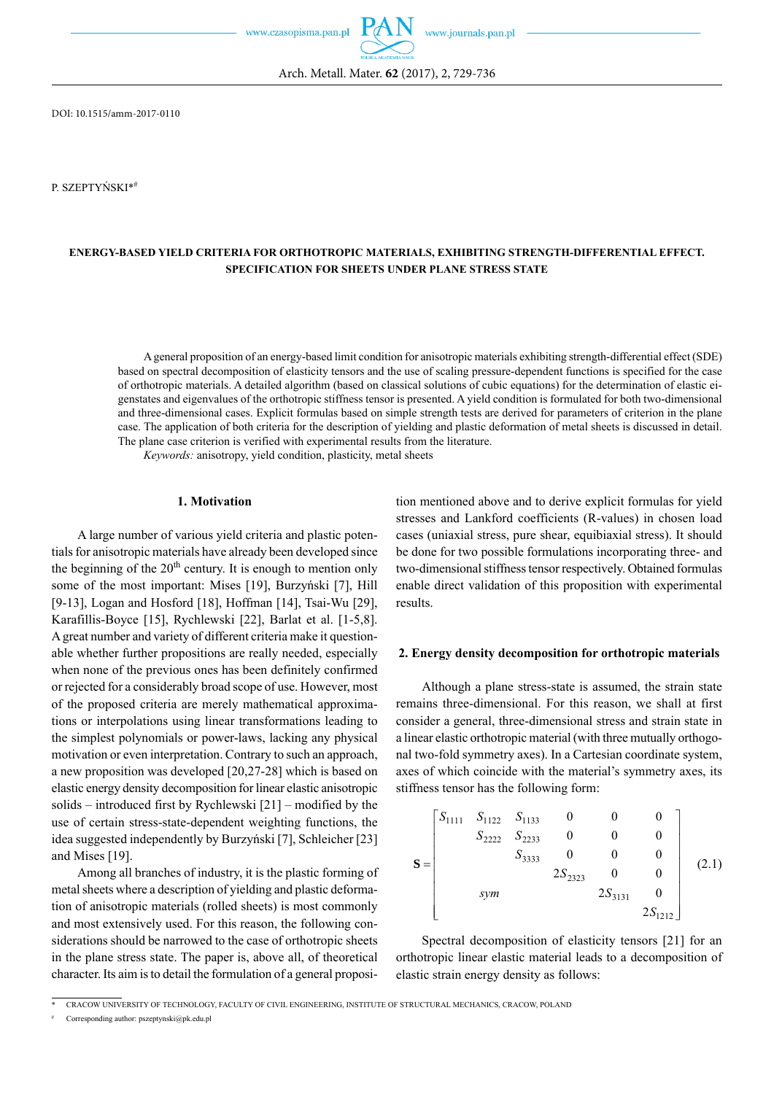Arch. Metall. Mater. **62** (2017), 2, 729-736

DOI: 10.1515/amm-2017-0110

P. SZEPTYŃSKI\*#

# **ENERGY-BASED YIELD CRITERIA FOR ORTHOTROPIC MATERIALS, EXHIBITING STRENGTH-DIFFERENTIAL EFFECT. SPECIFICATION FOR SHEETS UNDER PLANE STRESS STATE**

A general proposition of an energy-based limit condition for anisotropic materials exhibiting strength-differential effect (SDE) based on spectral decomposition of elasticity tensors and the use of scaling pressure-dependent functions is specified for the case of orthotropic materials. A detailed algorithm (based on classical solutions of cubic equations) for the determination of elastic eigenstates and eigenvalues of the orthotropic stiffness tensor is presented. A yield condition is formulated for both two-dimensional and three-dimensional cases. Explicit formulas based on simple strength tests are derived for parameters of criterion in the plane case. The application of both criteria for the description of yielding and plastic deformation of metal sheets is discussed in detail. The plane case criterion is verified with experimental results from the literature.

*Keywords:* anisotropy, yield condition, plasticity, metal sheets

#### **1. Motivation**

A large number of various yield criteria and plastic potentials for anisotropic materials have already been developed since the beginning of the  $20<sup>th</sup>$  century. It is enough to mention only some of the most important: Mises [19], Burzyński [7], Hill [9-13], Logan and Hosford [18], Hoffman [14], Tsai-Wu [29], Karafillis-Boyce [15], Rychlewski [22], Barlat et al. [1-5,8]. A great number and variety of different criteria make it questionable whether further propositions are really needed, especially when none of the previous ones has been definitely confirmed or rejected for a considerably broad scope of use. However, most of the proposed criteria are merely mathematical approximations or interpolations using linear transformations leading to the simplest polynomials or power-laws, lacking any physical motivation or even interpretation. Contrary to such an approach, a new proposition was developed [20,27-28] which is based on elastic energy density decomposition for linear elastic anisotropic solids – introduced first by Rychlewski [21] – modified by the use of certain stress-state-dependent weighting functions, the idea suggested independently by Burzyński [7], Schleicher [23] and Mises [19].

Among all branches of industry, it is the plastic forming of metal sheets where a description of yielding and plastic deformation of anisotropic materials (rolled sheets) is most commonly and most extensively used. For this reason, the following considerations should be narrowed to the case of orthotropic sheets in the plane stress state. The paper is, above all, of theoretical character. Its aim is to detail the formulation of a general proposition mentioned above and to derive explicit formulas for yield stresses and Lankford coefficients (R-values) in chosen load cases (uniaxial stress, pure shear, equibiaxial stress). It should be done for two possible formulations incorporating three- and two-dimensional stiffness tensor respectively. Obtained formulas enable direct validation of this proposition with experimental results.

#### **2. Energy density decomposition for orthotropic materials**

Although a plane stress-state is assumed, the strain state remains three-dimensional. For this reason, we shall at first consider a general, three-dimensional stress and strain state in a linear elastic orthotropic material (with three mutually orthogonal two-fold symmetry axes). In a Cartesian coordinate system, axes of which coincide with the material's symmetry axes, its stiffness tensor has the following form:

$$
\mathbf{S} = \begin{bmatrix} S_{1111} & S_{1122} & S_{1133} & 0 & 0 & 0 \\ S_{2222} & S_{2233} & 0 & 0 & 0 \\ S_{3333} & 0 & 0 & 0 \\ S_{3333} & 0 & 0 & 0 \\ S_{3333} & 0 & 0 & 0 \\ S_{3333} & 0 & 0 & 0 \\ S_{3333} & 0 & 0 & 0 \\ S_{3333} & 0 & 0 & 0 \\ S_{3333} & 0 & 0 & 0 \\ S_{3333} & 0 & 0 & 0 \\ S_{3333} & 0 & 0 & 0 \\ S_{3333} & 0 & 0 & 0 \\ S_{3333} & 0 & 0 & 0 \\ S_{3333} & 0 & 0 & 0 \\ S_{3333} & 0 & 0 & 0 \\ S_{3333} & 0 & 0 & 0 \\ S_{3333} & 0 & 0 & 0 \\ S_{3333} & 0 & 0 & 0 \\ S_{3333} & 0 & 0 & 0 \\ S_{3333} & 0 & 0 & 0 \\ S_{3333} & 0 & 0 & 0 \\ S_{3333} & 0 & 0 & 0 \\ S_{3333} & 0 & 0 & 0 \\ S_{3333} & 0 & 0 & 0 \\ S_{3333} & 0 & 0 & 0 \\ S_{3333} & 0 & 0 & 0 \\ S_{3333} & 0 & 0 & 0 \\ S_{3333} & 0 & 0 & 0 \\ S_{3333} & 0 & 0 & 0 \\ S_{3333} & 0 & 0 & 0 \\ S_{3333} & 0 & 0 & 0 \\ S_{33
$$

Spectral decomposition of elasticity tensors [21] for an orthotropic linear elastic material leads to a decomposition of elastic strain energy density as follows:

<sup>\*</sup> CRACOW UNIVERSITY OF TECHNOLOGY, FACULTY OF CIVIL ENGINEERING, INSTITUTE OF STRUCTURAL MECHANICS, CRACOW, POLAND

Corresponding author: pszeptynski@pk.edu.pl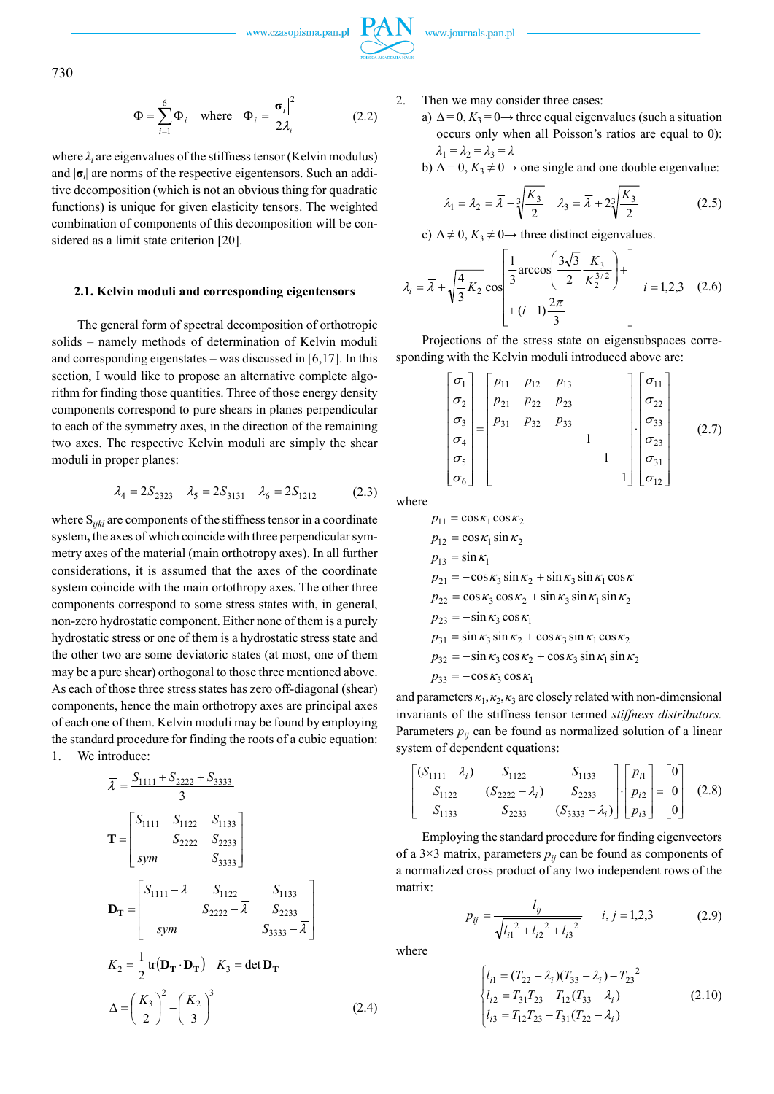

730

$$
\Phi = \sum_{i=1}^{6} \Phi_i \quad \text{where} \quad \Phi_i = \frac{|\sigma_i|^2}{2\lambda_i} \tag{2.2}
$$

where  $\lambda_i$  are eigenvalues of the stiffness tensor (Kelvin modulus) and |**σ***<sup>i</sup>* | are norms of the respective eigentensors. Such an additive decomposition (which is not an obvious thing for quadratic functions) is unique for given elasticity tensors. The weighted combination of components of this decomposition will be considered as a limit state criterion [20].

#### **2.1. Kelvin moduli and corresponding eigentensors**

The general form of spectral decomposition of orthotropic solids – namely methods of determination of Kelvin moduli and corresponding eigenstates – was discussed in  $[6,17]$ . In this section, I would like to propose an alternative complete algorithm for finding those quantities. Three of those energy density components correspond to pure shears in planes perpendicular to each of the symmetry axes, in the direction of the remaining two axes. The respective Kelvin moduli are simply the shear moduli in proper planes:

$$
\lambda_4 = 2S_{2323}
$$
  $\lambda_5 = 2S_{3131}$   $\lambda_6 = 2S_{1212}$  (2.3)

where S*ijkl* are components of the stiffness tensor in a coordinate system**,** the axes of which coincide with three perpendicular symmetry axes of the material (main orthotropy axes). In all further considerations, it is assumed that the axes of the coordinate system coincide with the main ortothropy axes. The other three components correspond to some stress states with, in general, non-zero hydrostatic component. Either none of them is a purely hydrostatic stress or one of them is a hydrostatic stress state and the other two are some deviatoric states (at most, one of them may be a pure shear) orthogonal to those three mentioned above. As each of those three stress states has zero off-diagonal (shear) components, hence the main orthotropy axes are principal axes of each one of them. Kelvin moduli may be found by employing the standard procedure for finding the roots of a cubic equation: 1. We introduce:

$$
\overline{\lambda} = \frac{S_{1111} + S_{2222} + S_{3333}}{3}
$$
  
\n
$$
\mathbf{T} = \begin{bmatrix} S_{1111} & S_{1122} & S_{1133} \\ S_{2222} & S_{2233} \\ \text{sym} & S_{3333} \end{bmatrix}
$$
  
\n
$$
\mathbf{D}_{\mathbf{T}} = \begin{bmatrix} S_{1111} - \overline{\lambda} & S_{1122} & S_{1133} \\ S_{2222} - \overline{\lambda} & S_{2233} \\ \text{sym} & S_{3333} - \overline{\lambda} \end{bmatrix}
$$
  
\n
$$
K_2 = \frac{1}{2} \text{tr}(\mathbf{D}_{\mathbf{T}} \cdot \mathbf{D}_{\mathbf{T}}) \quad K_3 = \det \mathbf{D}_{\mathbf{T}}
$$
  
\n
$$
\Delta = \left(\frac{K_3}{2}\right)^2 - \left(\frac{K_2}{3}\right)^3 \tag{2.4}
$$

2. Then we may consider three cases:

- a)  $\Delta = 0$ ,  $K_3 = 0 \rightarrow$  three equal eigenvalues (such a situation occurs only when all Poisson's ratios are equal to 0):  $\lambda_1 = \lambda_2 = \lambda_3 = \lambda$
- b)  $\Delta = 0$ ,  $K_3 \neq 0 \rightarrow$  one single and one double eigenvalue:

$$
\lambda_1 = \lambda_2 = \overline{\lambda} - \sqrt[3]{\frac{K_3}{2}} \quad \lambda_3 = \overline{\lambda} + 2\sqrt[3]{\frac{K_3}{2}} \tag{2.5}
$$

c)  $\Delta \neq 0$ ,  $K_3 \neq 0 \rightarrow$  three distinct eigenvalues.

$$
\lambda_i = \overline{\lambda} + \sqrt{\frac{4}{3} K_2 \cos \left( \frac{3\sqrt{3}}{2} \frac{K_3}{K_2^{3/2}} \right)} + \begin{bmatrix} \frac{1}{3} \arccos \left( \frac{3\sqrt{3}}{2} \frac{K_3}{K_2^{3/2}} \right) + \frac{1}{3} \arccos \left( \frac{3\sqrt{3}}{2} \frac{K_3}{K_2^{3/2}} \right) \end{bmatrix}
$$
 (2.6)

Projections of the stress state on eigensubspaces corresponding with the Kelvin moduli introduced above are:

$$
\begin{bmatrix}\n\sigma_1 \\
\sigma_2 \\
\sigma_3 \\
\sigma_4 \\
\sigma_5 \\
\sigma_6\n\end{bmatrix} =\n\begin{bmatrix}\np_{11} & p_{12} & p_{13} \\
p_{21} & p_{22} & p_{23} \\
p_{31} & p_{32} & p_{33} \\
\sigma_5 \\
\sigma_6\n\end{bmatrix}\n\begin{bmatrix}\n\sigma_{11} \\
\sigma_{22} \\
\sigma_{33} \\
1 \\
1 \\
0\n\end{bmatrix}\n\begin{bmatrix}\n\sigma_{11} \\
\sigma_{22} \\
\sigma_{33} \\
\sigma_{31} \\
\sigma_{12}\n\end{bmatrix}
$$
\n(2.7)

where

$$
p_{11} = \cos \kappa_1 \cos \kappa_2
$$
  
\n
$$
p_{12} = \cos \kappa_1 \sin \kappa_2
$$
  
\n
$$
p_{13} = \sin \kappa_1
$$
  
\n
$$
p_{21} = -\cos \kappa_3 \sin \kappa_2 + \sin \kappa_3 \sin \kappa_1 \cos \kappa
$$
  
\n
$$
p_{22} = \cos \kappa_3 \cos \kappa_2 + \sin \kappa_3 \sin \kappa_1 \sin \kappa_2
$$
  
\n
$$
p_{23} = -\sin \kappa_3 \cos \kappa_1
$$
  
\n
$$
p_{31} = \sin \kappa_3 \sin \kappa_2 + \cos \kappa_3 \sin \kappa_1 \cos \kappa_2
$$
  
\n
$$
p_{32} = -\sin \kappa_3 \cos \kappa_2 + \cos \kappa_3 \sin \kappa_1 \sin \kappa_2
$$
  
\n
$$
p_{33} = -\cos \kappa_3 \cos \kappa_1
$$

and parameters  $\kappa_1, \kappa_2, \kappa_3$  are closely related with non-dimensional invariants of the stiffness tensor termed *stiffness distributors.*  Parameters  $p_{ij}$  can be found as normalized solution of a linear system of dependent equations:

$$
\begin{bmatrix}\n(S_{1111} - \lambda_i) & S_{1122} & S_{1133} \\
S_{1122} & (S_{2222} - \lambda_i) & S_{2233} \\
S_{1133} & S_{2233} & (S_{3333} - \lambda_i)\n\end{bmatrix}\n\cdot\n\begin{bmatrix}\np_{i1} \\
p_{i2} \\
p_{i3}\n\end{bmatrix}\n=\n\begin{bmatrix}\n0 \\
0 \\
0\n\end{bmatrix}
$$
\n(2.8)

Employing the standard procedure for finding eigenvectors of a  $3\times3$  matrix, parameters  $p_{ij}$  can be found as components of a normalized cross product of any two independent rows of the matrix:

$$
p_{ij} = \frac{l_{ij}}{\sqrt{l_{i1}^2 + l_{i2}^2 + l_{i3}^2}} \qquad i, j = 1, 2, 3 \tag{2.9}
$$

where

$$
\begin{cases}\n l_{i1} = (T_{22} - \lambda_i)(T_{33} - \lambda_i) - T_{23}^2 \\
 l_{i2} = T_{31}T_{23} - T_{12}(T_{33} - \lambda_i) \\
 l_{i3} = T_{12}T_{23} - T_{31}(T_{22} - \lambda_i)\n\end{cases}
$$
\n(2.10)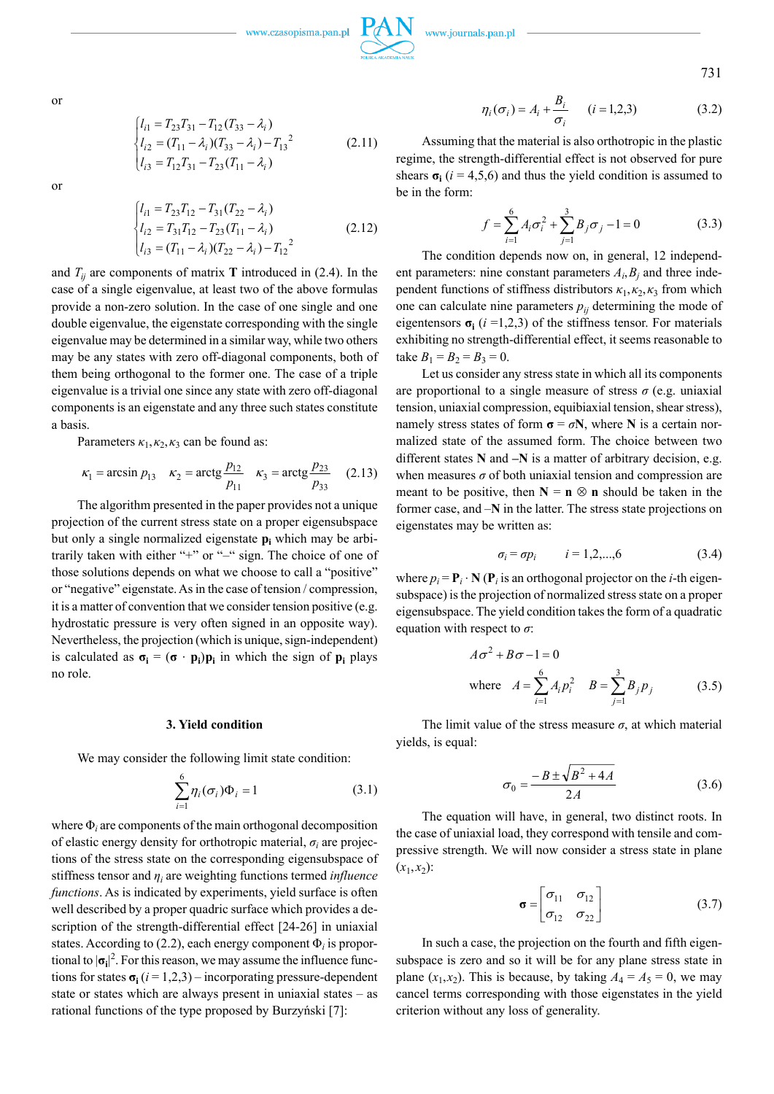731

$$
\begin{cases}\n l_{i1} = T_{23}T_{31} - T_{12}(T_{33} - \lambda_i) \\
 l_{i2} = (T_{11} - \lambda_i)(T_{33} - \lambda_i) - T_{13}^2 \\
 l_{i3} = T_{12}T_{31} - T_{23}(T_{11} - \lambda_i)\n\end{cases}
$$
\n(2.11)

or

$$
\begin{cases}\n l_{i1} = T_{23}T_{12} - T_{31}(T_{22} - \lambda_i) \\
 l_{i2} = T_{31}T_{12} - T_{23}(T_{11} - \lambda_i) \\
 l_{i3} = (T_{11} - \lambda_i)(T_{22} - \lambda_i) - T_{12}^2\n\end{cases}
$$
\n(2.12)

and  $T_{ij}$  are components of matrix **T** introduced in (2.4). In the case of a single eigenvalue, at least two of the above formulas provide a non-zero solution. In the case of one single and one double eigenvalue, the eigenstate corresponding with the single eigenvalue may be determined in a similar way, while two others may be any states with zero off-diagonal components, both of them being orthogonal to the former one. The case of a triple eigenvalue is a trivial one since any state with zero off-diagonal components is an eigenstate and any three such states constitute a basis.

Parameters  $\kappa_1, \kappa_2, \kappa_3$  can be found as:

$$
\kappa_1 = \arcsin p_{13}
$$
  $\kappa_2 = \arctg \frac{p_{12}}{p_{11}}$   $\kappa_3 = \arctg \frac{p_{23}}{p_{33}}$  (2.13)

The algorithm presented in the paper provides not a unique projection of the current stress state on a proper eigensubspace but only a single normalized eigenstate  $p_i$  which may be arbitrarily taken with either "+" or "–" sign. The choice of one of those solutions depends on what we choose to call a "positive" or "negative" eigenstate. As in the case of tension / compression, it is a matter of convention that we consider tension positive (e.g. hydrostatic pressure is very often signed in an opposite way). Nevertheless, the projection (which is unique, sign-independent) is calculated as  $\sigma_i = (\sigma \cdot p_i)p_i$  in which the sign of  $p_i$  plays no role.

#### **3. Yield condition**

We may consider the following limit state condition:

$$
\sum_{i=1}^{6} \eta_i(\sigma_i) \Phi_i = 1 \tag{3.1}
$$

where Φ*<sup>i</sup>* are components of the main orthogonal decomposition of elastic energy density for orthotropic material, *σ<sup>i</sup>* are projections of the stress state on the corresponding eigensubspace of stiffness tensor and *η<sup>i</sup>* are weighting functions termed *influence functions*. As is indicated by experiments, yield surface is often well described by a proper quadric surface which provides a description of the strength-differential effect [24-26] in uniaxial states. According to  $(2.2)$ , each energy component  $\Phi_i$  is proportional to  $|\sigma_i|^2$ . For this reason, we may assume the influence functions for states  $\sigma_i$  ( $i = 1,2,3$ ) – incorporating pressure-dependent state or states which are always present in uniaxial states – as rational functions of the type proposed by Burzyński [7]:

$$
\eta_i(\sigma_i) = A_i + \frac{B_i}{\sigma_i} \qquad (i = 1, 2, 3)
$$
\n(3.2)

Assuming that the material is also orthotropic in the plastic regime, the strength-differential effect is not observed for pure shears  $\sigma_i$  ( $i = 4,5,6$ ) and thus the yield condition is assumed to be in the form:

$$
f = \sum_{i=1}^{6} A_i \sigma_i^2 + \sum_{j=1}^{3} B_j \sigma_j - 1 = 0
$$
 (3.3)

The condition depends now on, in general, 12 independent parameters: nine constant parameters  $A_i$ ,  $B_j$  and three independent functions of stiffness distributors  $\kappa_1, \kappa_2, \kappa_3$  from which one can calculate nine parameters  $p_{ij}$  determining the mode of eigentensors  $\sigma_i$  ( $i = 1,2,3$ ) of the stiffness tensor. For materials exhibiting no strength-differential effect, it seems reasonable to take  $B_1 = B_2 = B_3 = 0$ .

Let us consider any stress state in which all its components are proportional to a single measure of stress  $\sigma$  (e.g. uniaxial tension, uniaxial compression, equibiaxial tension, shear stress), namely stress states of form  $\sigma = \sigma N$ , where **N** is a certain normalized state of the assumed form. The choice between two different states **N** and **–N** is a matter of arbitrary decision, e.g. when measures  $\sigma$  of both uniaxial tension and compression are meant to be positive, then  $N = n \otimes n$  should be taken in the former case, and –**N** in the latter. The stress state projections on eigenstates may be written as:

$$
\sigma_i = \sigma p_i \qquad i = 1, 2, ..., 6 \tag{3.4}
$$

where  $p_i = \mathbf{P}_i \cdot \mathbf{N}(\mathbf{P}_i)$  is an orthogonal projector on the *i*-th eigensubspace) is the projection of normalized stress state on a proper eigensubspace. The yield condition takes the form of a quadratic equation with respect to *σ*:

$$
A\sigma^2 + B\sigma - 1 = 0
$$
  
where  $A = \sum_{i=1}^{6} A_i p_i^2$   $B = \sum_{j=1}^{3} B_j p_j$  (3.5)

The limit value of the stress measure  $\sigma$ , at which material yields, is equal:

$$
\sigma_0 = \frac{-B \pm \sqrt{B^2 + 4A}}{2A} \tag{3.6}
$$

The equation will have, in general, two distinct roots. In the case of uniaxial load, they correspond with tensile and compressive strength. We will now consider a stress state in plane  $(x_1, x_2)$ :

$$
\boldsymbol{\sigma} = \begin{bmatrix} \sigma_{11} & \sigma_{12} \\ \sigma_{12} & \sigma_{22} \end{bmatrix} \tag{3.7}
$$

In such a case, the projection on the fourth and fifth eigensubspace is zero and so it will be for any plane stress state in plane  $(x_1, x_2)$ . This is because, by taking  $A_4 = A_5 = 0$ , we may cancel terms corresponding with those eigenstates in the yield criterion without any loss of generality.

or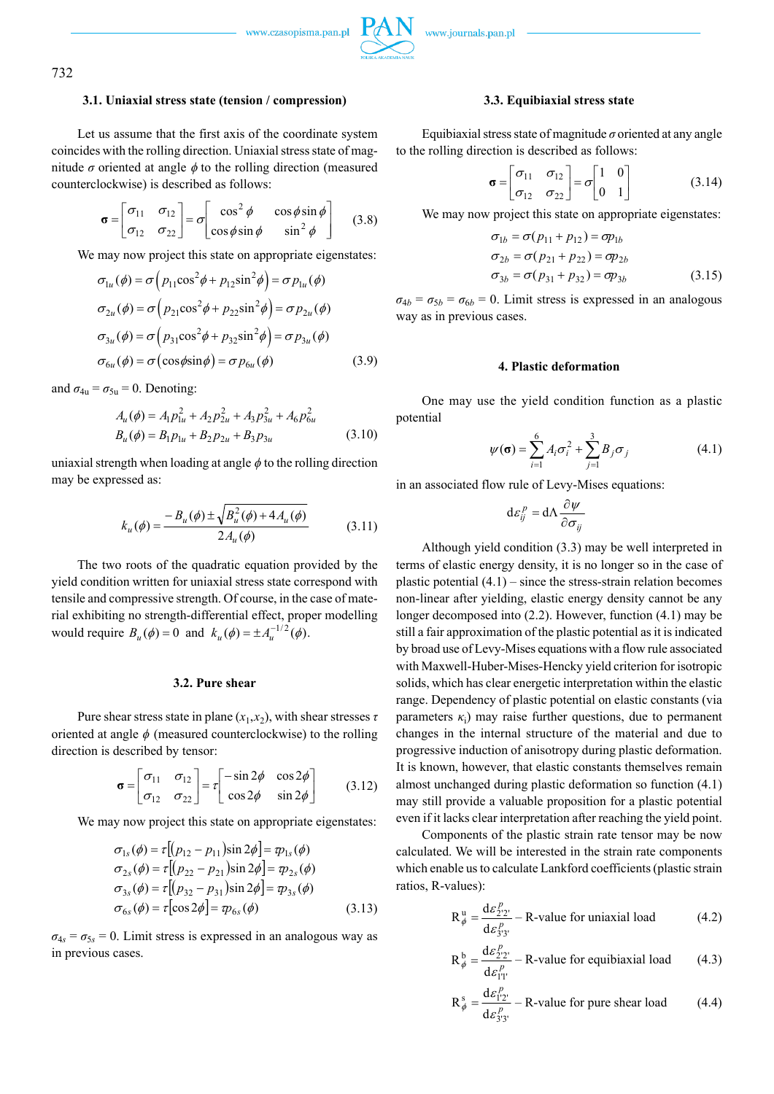

# 732

#### **3.1. Uniaxial stress state (tension / compression)**

Let us assume that the first axis of the coordinate system coincides with the rolling direction. Uniaxial stress state of magnitude  $\sigma$  oriented at angle  $\phi$  to the rolling direction (measured counterclockwise) is described as follows:

$$
\boldsymbol{\sigma} = \begin{bmatrix} \sigma_{11} & \sigma_{12} \\ \sigma_{12} & \sigma_{22} \end{bmatrix} = \sigma \begin{bmatrix} \cos^2 \phi & \cos \phi \sin \phi \\ \cos \phi \sin \phi & \sin^2 \phi \end{bmatrix} \tag{3.8}
$$

We may now project this state on appropriate eigenstates:

$$
\sigma_{1u}(\phi) = \sigma \left( p_{11} \cos^2 \phi + p_{12} \sin^2 \phi \right) = \sigma p_{1u}(\phi)
$$
  
\n
$$
\sigma_{2u}(\phi) = \sigma \left( p_{21} \cos^2 \phi + p_{22} \sin^2 \phi \right) = \sigma p_{2u}(\phi)
$$
  
\n
$$
\sigma_{3u}(\phi) = \sigma \left( p_{31} \cos^2 \phi + p_{32} \sin^2 \phi \right) = \sigma p_{3u}(\phi)
$$
  
\n
$$
\sigma_{6u}(\phi) = \sigma \left( \cos \phi \sin \phi \right) = \sigma p_{6u}(\phi)
$$
 (3.9)

and  $\sigma_{4u} = \sigma_{5u} = 0$ . Denoting:

$$
A_u(\phi) = A_1 p_{1u}^2 + A_2 p_{2u}^2 + A_3 p_{3u}^2 + A_6 p_{6u}^2
$$
  
\n
$$
B_u(\phi) = B_1 p_{1u} + B_2 p_{2u} + B_3 p_{3u}
$$
 (3.10)

uniaxial strength when loading at angle  $\phi$  to the rolling direction may be expressed as:

$$
k_{u}(\phi) = \frac{-B_{u}(\phi) \pm \sqrt{B_{u}^{2}(\phi) + 4A_{u}(\phi)}}{2A_{u}(\phi)}
$$
(3.11)

The two roots of the quadratic equation provided by the yield condition written for uniaxial stress state correspond with tensile and compressive strength. Of course, in the case of material exhibiting no strength-differential effect, proper modelling would require  $B_u(\phi) = 0$  and  $k_u(\phi) = \pm A_u^{-1/2}(\phi)$ .

# **3.2. Pure shear**

Pure shear stress state in plane  $(x_1, x_2)$ , with shear stresses  $\tau$ oriented at angle  $\phi$  (measured counterclockwise) to the rolling direction is described by tensor:

$$
\boldsymbol{\sigma} = \begin{bmatrix} \sigma_{11} & \sigma_{12} \\ \sigma_{12} & \sigma_{22} \end{bmatrix} = \tau \begin{bmatrix} -\sin 2\phi & \cos 2\phi \\ \cos 2\phi & \sin 2\phi \end{bmatrix} \tag{3.12}
$$

We may now project this state on appropriate eigenstates:

$$
\sigma_{1s}(\phi) = \tau [ (p_{12} - p_{11}) \sin 2\phi ] = \varphi_{1s}(\phi) \n\sigma_{2s}(\phi) = \tau [ (p_{22} - p_{21}) \sin 2\phi ] = \varphi_{2s}(\phi) \n\sigma_{3s}(\phi) = \tau [ (p_{32} - p_{31}) \sin 2\phi ] = \varphi_{3s}(\phi) \n\sigma_{6s}(\phi) = \tau [\cos 2\phi] = \varphi_{6s}(\phi)
$$
\n(3.13)

 $\sigma_{4s} = \sigma_{5s} = 0$ . Limit stress is expressed in an analogous way as in previous cases.

# **3.3. Equibiaxial stress state**

Equibiaxial stress state of magnitude  $\sigma$  oriented at any angle to the rolling direction is described as follows:

$$
\boldsymbol{\sigma} = \begin{bmatrix} \sigma_{11} & \sigma_{12} \\ \sigma_{12} & \sigma_{22} \end{bmatrix} = \sigma \begin{bmatrix} 1 & 0 \\ 0 & 1 \end{bmatrix} \tag{3.14}
$$

We may now project this state on appropriate eigenstates:

$$
\sigma_{1b} = \sigma(p_{11} + p_{12}) = \sigma p_{1b}
$$
  
\n
$$
\sigma_{2b} = \sigma(p_{21} + p_{22}) = \sigma p_{2b}
$$
  
\n
$$
\sigma_{3b} = \sigma(p_{31} + p_{32}) = \sigma p_{3b}
$$
\n(3.15)

 $\sigma_{4b} = \sigma_{5b} = \sigma_{6b} = 0$ . Limit stress is expressed in an analogous way as in previous cases.

#### **4. Plastic deformation**

One may use the yield condition function as a plastic potential

$$
\psi(\sigma) = \sum_{i=1}^{6} A_i \sigma_i^2 + \sum_{j=1}^{3} B_j \sigma_j
$$
 (4.1)

in an associated flow rule of Levy-Mises equations:

$$
\mathrm{d}\varepsilon_{ij}^p = \mathrm{d}\Lambda \frac{\partial \psi}{\partial \sigma_{ij}}
$$

Although yield condition (3.3) may be well interpreted in terms of elastic energy density, it is no longer so in the case of plastic potential  $(4.1)$  – since the stress-strain relation becomes non-linear after yielding, elastic energy density cannot be any longer decomposed into (2.2). However, function (4.1) may be still a fair approximation of the plastic potential as it is indicated by broad use of Levy-Mises equations with a flow rule associated with Maxwell-Huber-Mises-Hencky yield criterion for isotropic solids, which has clear energetic interpretation within the elastic range. Dependency of plastic potential on elastic constants (via parameters  $\kappa_i$ ) may raise further questions, due to permanent changes in the internal structure of the material and due to progressive induction of anisotropy during plastic deformation. It is known, however, that elastic constants themselves remain almost unchanged during plastic deformation so function (4.1) may still provide a valuable proposition for a plastic potential even if it lacks clear interpretation after reaching the yield point.

Components of the plastic strain rate tensor may be now calculated. We will be interested in the strain rate components which enable us to calculate Lankford coefficients (plastic strain ratios, R-values):

$$
R_{\phi}^{u} = \frac{d\varepsilon_{2'2'}^{p}}{d\varepsilon_{3'3'}^{p}} - R
$$
-value for uniaxial load (4.2)

$$
R_{\phi}^{b} = \frac{d\varepsilon_{22'}^{p}}{d\varepsilon_{1T}^{p}} - R
$$
-value for equibiaxial load (4.3)

$$
R_{\phi}^{s} = \frac{d\varepsilon_{12}^{p}}{d\varepsilon_{33'}^{p}} - R \text{-value for pure shear load} \qquad (4.4)
$$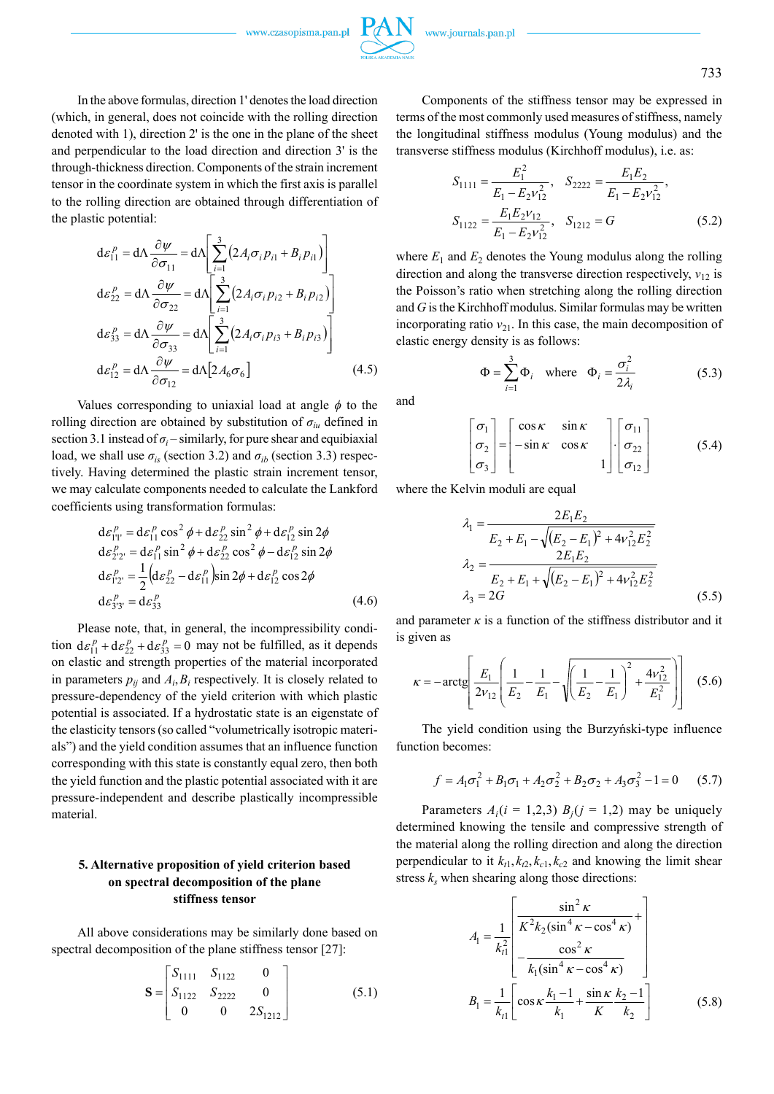733

In the above formulas, direction 1' denotes the load direction (which, in general, does not coincide with the rolling direction denoted with 1), direction 2' is the one in the plane of the sheet and perpendicular to the load direction and direction 3' is the through-thickness direction. Components of the strain increment tensor in the coordinate system in which the first axis is parallel to the rolling direction are obtained through differentiation of the plastic potential:

$$
d\varepsilon_{11}^{p} = d\Lambda \frac{\partial \psi}{\partial \sigma_{11}} = d\Lambda \left[ \sum_{i=1}^{3} (2A_{i}\sigma_{i}p_{i1} + B_{i}p_{i1}) \right]
$$
  
\n
$$
d\varepsilon_{22}^{p} = d\Lambda \frac{\partial \psi}{\partial \sigma_{22}} = d\Lambda \left[ \sum_{i=1}^{3} (2A_{i}\sigma_{i}p_{i2} + B_{i}p_{i2}) \right]
$$
  
\n
$$
d\varepsilon_{33}^{p} = d\Lambda \frac{\partial \psi}{\partial \sigma_{33}} = d\Lambda \left[ \sum_{i=1}^{3} (2A_{i}\sigma_{i}p_{i3} + B_{i}p_{i3}) \right]
$$
  
\n
$$
d\varepsilon_{12}^{p} = d\Lambda \frac{\partial \psi}{\partial \sigma_{12}} = d\Lambda [2A_{6}\sigma_{6}]
$$
\n(4.5)

Values corresponding to uniaxial load at angle  $\phi$  to the rolling direction are obtained by substitution of  $\sigma_{in}$  defined in section 3.1 instead of  $\sigma_i$  – similarly, for pure shear and equibiaxial load, we shall use  $\sigma_{is}$  (section 3.2) and  $\sigma_{ib}$  (section 3.3) respectively. Having determined the plastic strain increment tensor, we may calculate components needed to calculate the Lankford coefficients using transformation formulas:

$$
d\varepsilon_{11'}^p = d\varepsilon_{11}^p \cos^2 \phi + d\varepsilon_{22}^p \sin^2 \phi + d\varepsilon_{12}^p \sin 2\phi
$$
  
\n
$$
d\varepsilon_{22'}^p = d\varepsilon_{11}^p \sin^2 \phi + d\varepsilon_{22}^p \cos^2 \phi - d\varepsilon_{12}^p \sin 2\phi
$$
  
\n
$$
d\varepsilon_{12'}^p = \frac{1}{2} (d\varepsilon_{22}^p - d\varepsilon_{11}^p) \sin 2\phi + d\varepsilon_{12}^p \cos 2\phi
$$
  
\n
$$
d\varepsilon_{33'}^p = d\varepsilon_{33}^p
$$
\n(4.6)

Please note, that, in general, the incompressibility condition  $d\varepsilon_{11}^p + d\varepsilon_{22}^p + d\varepsilon_{33}^p = 0$  may not be fulfilled, as it depends on elastic and strength properties of the material incorporated in parameters  $p_{ij}$  and  $A_i, B_i$  respectively. It is closely related to pressure-dependency of the yield criterion with which plastic potential is associated. If a hydrostatic state is an eigenstate of the elasticity tensors (so called "volumetrically isotropic materials") and the yield condition assumes that an influence function corresponding with this state is constantly equal zero, then both the yield function and the plastic potential associated with it are pressure-independent and describe plastically incompressible material.

# **5. Alternative proposition of yield criterion based on spectral decomposition of the plane stiffness tensor**

All above considerations may be similarly done based on spectral decomposition of the plane stiffness tensor [27]:

$$
\mathbf{S} = \begin{bmatrix} S_{1111} & S_{1122} & 0 \\ S_{1122} & S_{2222} & 0 \\ 0 & 0 & 2S_{1212} \end{bmatrix} \tag{5.1}
$$

Components of the stiffness tensor may be expressed in terms of the most commonly used measures of stiffness, namely the longitudinal stiffness modulus (Young modulus) and the transverse stiffness modulus (Kirchhoff modulus), i.e. as:

$$
S_{1111} = \frac{E_1^2}{E_1 - E_2 v_{12}^2}, \quad S_{2222} = \frac{E_1 E_2}{E_1 - E_2 v_{12}^2},
$$
  

$$
S_{1122} = \frac{E_1 E_2 v_{12}}{E_1 - E_2 v_{12}^2}, \quad S_{1212} = G
$$
 (5.2)

where  $E_1$  and  $E_2$  denotes the Young modulus along the rolling direction and along the transverse direction respectively, *ν*<sub>12</sub> is the Poisson's ratio when stretching along the rolling direction and *G* is the Kirchhoff modulus. Similar formulas may be written incorporating ratio  $v_{21}$ . In this case, the main decomposition of elastic energy density is as follows:

$$
\Phi = \sum_{i=1}^{3} \Phi_i \quad \text{where} \quad \Phi_i = \frac{\sigma_i^2}{2\lambda_i} \tag{5.3}
$$

and

$$
\begin{bmatrix} \sigma_1 \\ \sigma_2 \\ \sigma_3 \end{bmatrix} = \begin{bmatrix} \cos \kappa & \sin \kappa \\ -\sin \kappa & \cos \kappa \\ 0 & 1 \end{bmatrix} \begin{bmatrix} \sigma_{11} \\ \sigma_{22} \\ \sigma_{12} \end{bmatrix}
$$
 (5.4)

where the Kelvin moduli are equal

$$
\lambda_1 = \frac{2E_1E_2}{E_2 + E_1 - \sqrt{(E_2 - E_1)^2 + 4v_{12}^2E_2^2}}
$$
\n
$$
\lambda_2 = \frac{2E_1E_2}{E_2 + E_1 + \sqrt{(E_2 - E_1)^2 + 4v_{12}^2E_2^2}}
$$
\n
$$
\lambda_3 = 2G \tag{5.5}
$$

and parameter  $\kappa$  is a function of the stiffness distributor and it is given as

$$
\kappa = -\arctg\left[\frac{E_1}{2v_{12}}\left(\frac{1}{E_2} - \frac{1}{E_1} - \sqrt{\left(\frac{1}{E_2} - \frac{1}{E_1}\right)^2 + \frac{4v_{12}^2}{E_1^2}}\right)\right] \quad (5.6)
$$

The yield condition using the Burzyński-type influence function becomes:

$$
f = A_1 \sigma_1^2 + B_1 \sigma_1 + A_2 \sigma_2^2 + B_2 \sigma_2 + A_3 \sigma_3^2 - 1 = 0
$$
 (5.7)

Parameters  $A_i(i = 1,2,3)$   $B_i(j = 1,2)$  may be uniquely determined knowing the tensile and compressive strength of the material along the rolling direction and along the direction perpendicular to it  $k_{t1}$ ,  $k_{t2}$ ,  $k_{c1}$ ,  $k_{c2}$  and knowing the limit shear stress  $k<sub>s</sub>$  when shearing along those directions:

$$
A_{1} = \frac{1}{k_{t1}^{2}} \left[ \frac{\sin^{2} \kappa}{K^{2} k_{2} (\sin^{4} \kappa - \cos^{4} \kappa)} + \frac{1}{k_{t1}^{2}} \left[ -\frac{\cos^{2} \kappa}{k_{1} (\sin^{4} \kappa - \cos^{4} \kappa)} \right] \right]
$$
  
\n
$$
B_{1} = \frac{1}{k_{t1}} \left[ \cos \kappa \frac{k_{1} - 1}{k_{1}} + \frac{\sin \kappa}{K} \frac{k_{2} - 1}{k_{2}} \right]
$$
(5.8)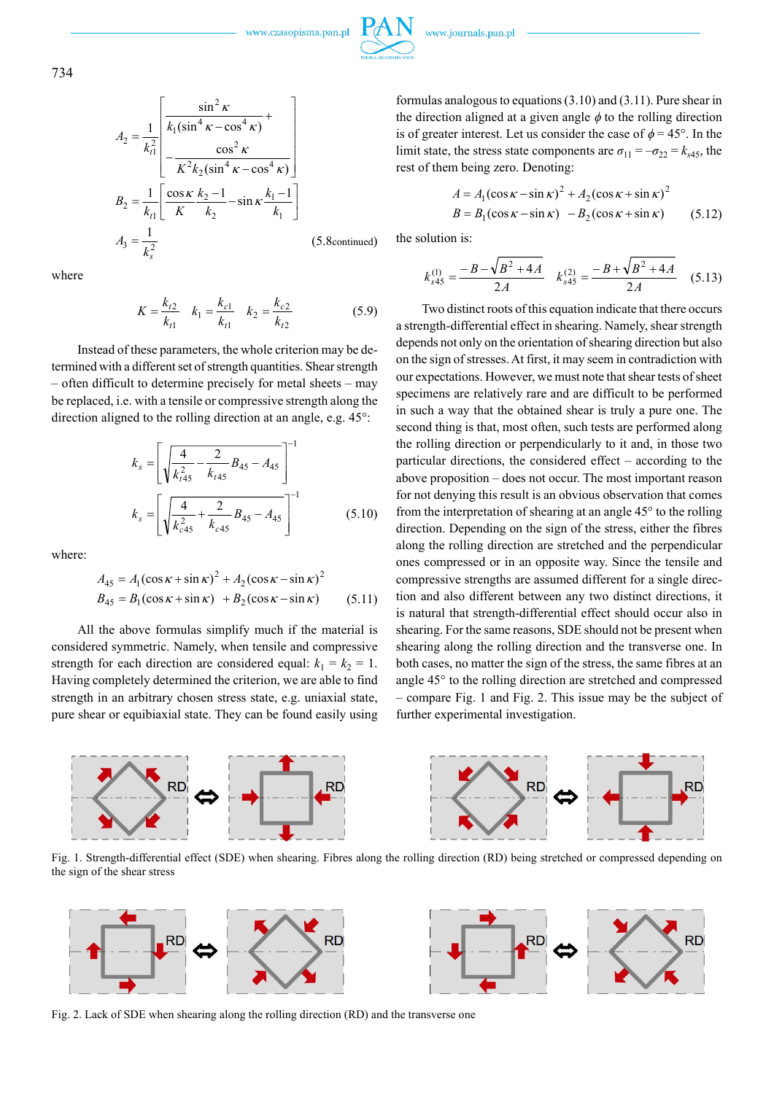734

$$
A_2 = \frac{1}{k_1^2} \begin{bmatrix} \frac{\sin^2 \kappa}{k_1 (\sin^4 \kappa - \cos^4 \kappa)} + \\ \frac{\cos^2 \kappa}{k_2 (\sin^4 \kappa - \cos^4 \kappa)} \end{bmatrix}
$$
  
\n
$$
B_2 = \frac{1}{k_{t1}} \begin{bmatrix} \frac{\cos \kappa}{k_2 - 1} - \sin \kappa \frac{k_1 - 1}{k_1} \\ \frac{k_2}{k_2} \end{bmatrix}
$$
  
\n
$$
A_3 = \frac{1}{k_s^2}
$$
 (5.8continued)

where

$$
K = \frac{k_{t2}}{k_{t1}} \quad k_1 = \frac{k_{c1}}{k_{t1}} \quad k_2 = \frac{k_{c2}}{k_{t2}} \tag{5.9}
$$

Instead of these parameters, the whole criterion may be determined with a different set of strength quantities. Shear strength – often difficult to determine precisely for metal sheets – may be replaced, i.e. with a tensile or compressive strength along the direction aligned to the rolling direction at an angle, e.g. 45°:

$$
k_s = \left[ \sqrt{\frac{4}{k_{t45}^2} - \frac{2}{k_{t45}} B_{45} - A_{45}} \right]^{-1}
$$
  

$$
k_s = \left[ \sqrt{\frac{4}{k_{c45}^2} + \frac{2}{k_{c45}} B_{45} - A_{45}} \right]^{-1}
$$
 (5.10)

where:

$$
A_{45} = A_1(\cos \kappa + \sin \kappa)^2 + A_2(\cos \kappa - \sin \kappa)^2
$$
  
\n
$$
B_{45} = B_1(\cos \kappa + \sin \kappa) + B_2(\cos \kappa - \sin \kappa)
$$
 (5.11)

All the above formulas simplify much if the material is considered symmetric. Namely, when tensile and compressive strength for each direction are considered equal:  $k_1 = k_2 = 1$ . Having completely determined the criterion, we are able to find strength in an arbitrary chosen stress state, e.g. uniaxial state, pure shear or equibiaxial state. They can be found easily using

formulas analogous to equations (3.10) and (3.11). Pure shear in the direction aligned at a given angle  $\phi$  to the rolling direction is of greater interest. Let us consider the case of  $\phi = 45^{\circ}$ . In the limit state, the stress state components are  $\sigma_{11} = -\sigma_{22} = k_{s45}$ , the rest of them being zero. Denoting:

$$
A = A_1(\cos \kappa - \sin \kappa)^2 + A_2(\cos \kappa + \sin \kappa)^2
$$
  
\n
$$
B = B_1(\cos \kappa - \sin \kappa) - B_2(\cos \kappa + \sin \kappa)
$$
 (5.12)

the solution is:

$$
k_{s45}^{(1)} = \frac{-B - \sqrt{B^2 + 4A}}{2A} \quad k_{s45}^{(2)} = \frac{-B + \sqrt{B^2 + 4A}}{2A} \quad (5.13)
$$

Two distinct roots of this equation indicate that there occurs a strength-differential effect in shearing. Namely, shear strength depends not only on the orientation of shearing direction but also on the sign of stresses. At first, it may seem in contradiction with our expectations. However, we must note that shear tests of sheet specimens are relatively rare and are difficult to be performed in such a way that the obtained shear is truly a pure one. The second thing is that, most often, such tests are performed along the rolling direction or perpendicularly to it and, in those two particular directions, the considered effect – according to the above proposition – does not occur. The most important reason for not denying this result is an obvious observation that comes from the interpretation of shearing at an angle 45° to the rolling direction. Depending on the sign of the stress, either the fibres along the rolling direction are stretched and the perpendicular ones compressed or in an opposite way. Since the tensile and compressive strengths are assumed different for a single direction and also different between any two distinct directions, it is natural that strength-differential effect should occur also in shearing. For the same reasons, SDE should not be present when shearing along the rolling direction and the transverse one. In both cases, no matter the sign of the stress, the same fibres at an angle 45° to the rolling direction are stretched and compressed – compare Fig. 1 and Fig. 2. This issue may be the subject of further experimental investigation.



Fig. 1. Strength-differential effect (SDE) when shearing. Fibres along the rolling direction (RD) being stretched or compressed depending on the sign of the shear stress



Fig. 2. Lack of SDE when shearing along the rolling direction (RD) and the transverse one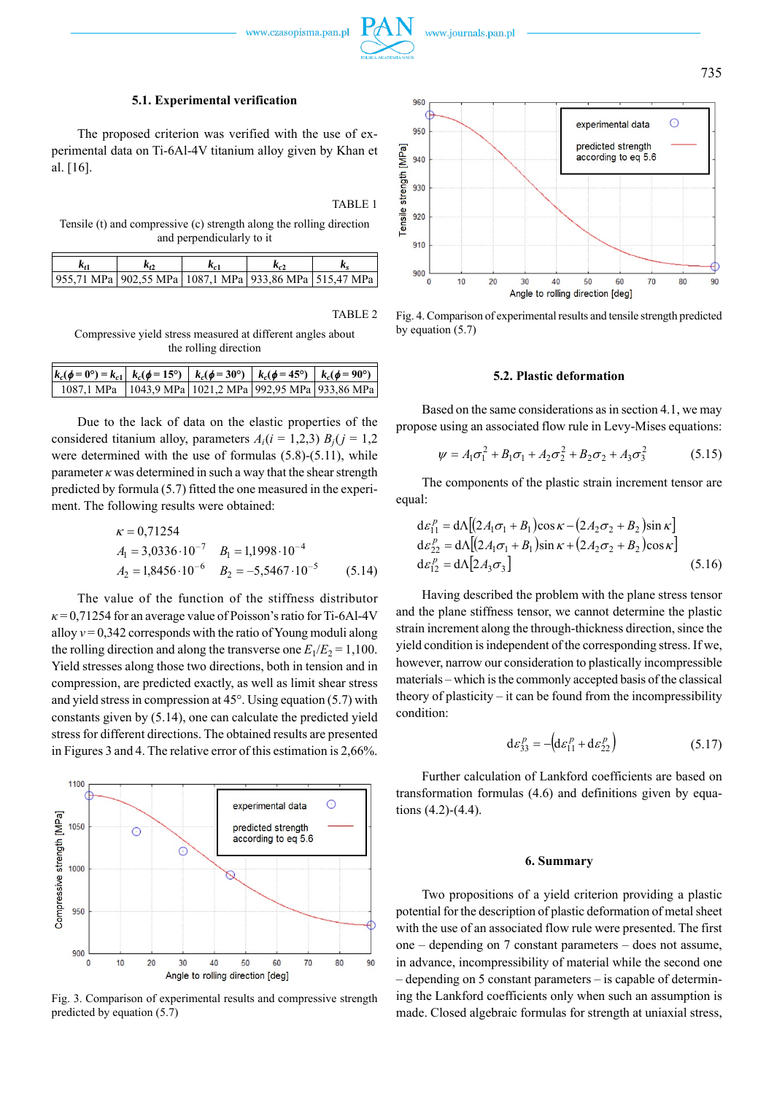



#### **5.1. Experimental verification**

The proposed criterion was verified with the use of experimental data on Ti-6Al-4V titanium alloy given by Khan et al. [16].

# TABLE 1

Tensile (t) and compressive (c) strength along the rolling direction and perpendicularly to it

|                                                                |  | K., |  |
|----------------------------------------------------------------|--|-----|--|
| 955,71 MPa   902,55 MPa   1087,1 MPa   933,86 MPa   515,47 MPa |  |     |  |

#### TABLE 2

Compressive yield stress measured at different angles about the rolling direction

| $ k_c(\phi = 0^{\circ}) = k_{c1}  k_c(\phi = 15^{\circ})   k_c(\phi = 30^{\circ})   k_c(\phi = 45^{\circ})   k_c(\phi = 90^{\circ})$ |  |  |
|--------------------------------------------------------------------------------------------------------------------------------------|--|--|
| 1087,1 MPa   1043,9 MPa   1021,2 MPa   992,95 MPa   933,86 MPa                                                                       |  |  |

Due to the lack of data on the elastic properties of the considered titanium alloy, parameters  $A_i(i = 1,2,3)$   $B_i(j = 1,2)$ were determined with the use of formulas (5.8)-(5.11), while parameter  $\kappa$  was determined in such a way that the shear strength predicted by formula (5.7) fitted the one measured in the experiment. The following results were obtained:

$$
\kappa = 0,71254
$$
  
\n $A_1 = 3,0336 \cdot 10^{-7}$   $B_1 = 1,1998 \cdot 10^{-4}$   
\n $A_2 = 1,8456 \cdot 10^{-6}$   $B_2 = -5,5467 \cdot 10^{-5}$  (5.14)

The value of the function of the stiffness distributor  $\kappa$  = 0,71254 for an average value of Poisson's ratio for Ti-6Al-4V alloy  $v = 0,342$  corresponds with the ratio of Young moduli along the rolling direction and along the transverse one  $E_1/E_2 = 1,100$ . Yield stresses along those two directions, both in tension and in compression, are predicted exactly, as well as limit shear stress and yield stress in compression at 45°. Using equation (5.7) with constants given by (5.14), one can calculate the predicted yield stress for different directions. The obtained results are presented in Figures 3 and 4. The relative error of this estimation is 2,66%.



Fig. 3. Comparison of experimental results and compressive strength predicted by equation (5.7)



Fig. 4. Comparison of experimental results and tensile strength predicted by equation (5.7)

#### **5.2. Plastic deformation**

Based on the same considerations as in section 4.1, we may propose using an associated flow rule in Levy-Mises equations:

$$
\psi = A_1 \sigma_1^2 + B_1 \sigma_1 + A_2 \sigma_2^2 + B_2 \sigma_2 + A_3 \sigma_3^2 \tag{5.15}
$$

The components of the plastic strain increment tensor are equal:

$$
d\varepsilon_{11}^p = d\Lambda [(2A_1\sigma_1 + B_1)\cos\kappa - (2A_2\sigma_2 + B_2)\sin\kappa]
$$
  
\n
$$
d\varepsilon_{22}^p = d\Lambda [(2A_1\sigma_1 + B_1)\sin\kappa + (2A_2\sigma_2 + B_2)\cos\kappa]
$$
  
\n
$$
d\varepsilon_{12}^p = d\Lambda [2A_3\sigma_3]
$$
\n(5.16)

Having described the problem with the plane stress tensor and the plane stiffness tensor, we cannot determine the plastic strain increment along the through-thickness direction, since the yield condition is independent of the corresponding stress. If we, however, narrow our consideration to plastically incompressible materials – which is the commonly accepted basis of the classical theory of plasticity – it can be found from the incompressibility condition:

$$
\mathrm{d}\varepsilon_{33}^p = -\left(\mathrm{d}\varepsilon_{11}^p + \mathrm{d}\varepsilon_{22}^p\right) \tag{5.17}
$$

Further calculation of Lankford coefficients are based on transformation formulas (4.6) and definitions given by equations (4.2)-(4.4).

#### **6. Summary**

Two propositions of a yield criterion providing a plastic potential for the description of plastic deformation of metal sheet with the use of an associated flow rule were presented. The first one – depending on 7 constant parameters – does not assume, in advance, incompressibility of material while the second one – depending on 5 constant parameters – is capable of determining the Lankford coefficients only when such an assumption is made. Closed algebraic formulas for strength at uniaxial stress,